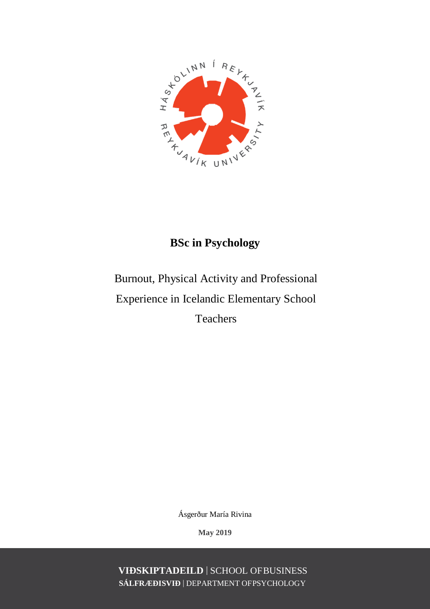

# **BSc in Psychology**

# Burnout, Physical Activity and Professional Experience in Icelandic Elementary School **Teachers**

Ásgerður María Rivina

**May 2019**

**VIÐSKIPTADEILD** | SCHOOL OFBUSINESS **SÁLFRÆÐISVIÐ** | DEPARTMENT OFPSYCHOLOGY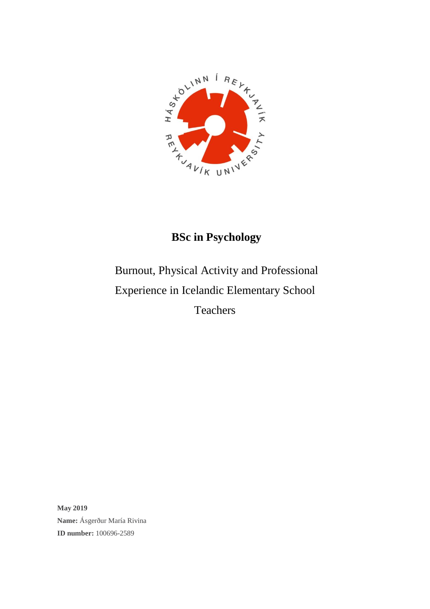

# **BSc in Psychology**

# Burnout, Physical Activity and Professional Experience in Icelandic Elementary School Teachers

**May 2019 Name:** Ásgerður María Rivina **ID number:** 100696-2589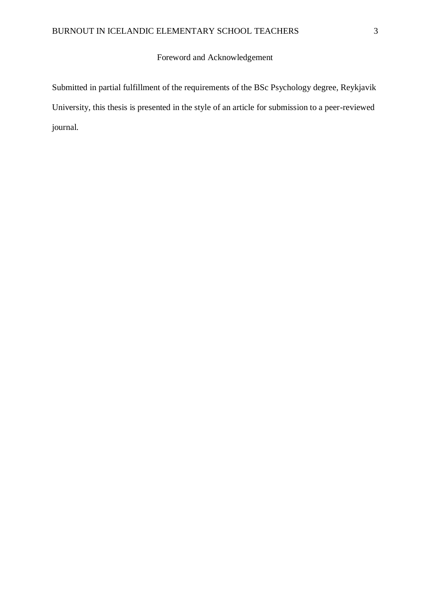# Foreword and Acknowledgement

Submitted in partial fulfillment of the requirements of the BSc Psychology degree, Reykjavik University, this thesis is presented in the style of an article for submission to a peer-reviewed journal.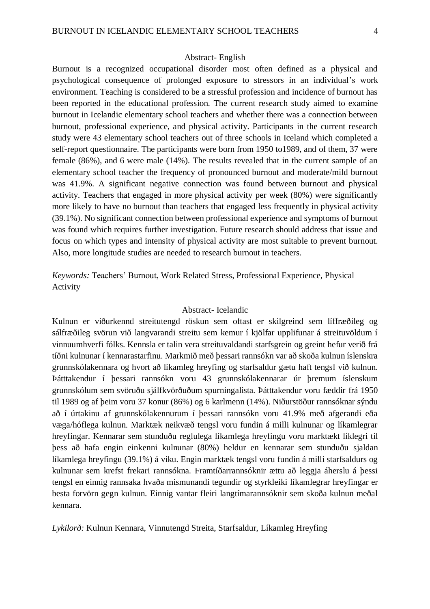#### Abstract- English

Burnout is a recognized occupational disorder most often defined as a physical and psychological consequence of prolonged exposure to stressors in an individual's work environment. Teaching is considered to be a stressful profession and incidence of burnout has been reported in the educational profession. The current research study aimed to examine burnout in Icelandic elementary school teachers and whether there was a connection between burnout, professional experience, and physical activity. Participants in the current research study were 43 elementary school teachers out of three schools in Iceland which completed a self-report questionnaire. The participants were born from 1950 to1989, and of them, 37 were female (86%), and 6 were male (14%). The results revealed that in the current sample of an elementary school teacher the frequency of pronounced burnout and moderate/mild burnout was 41.9%. A significant negative connection was found between burnout and physical activity. Teachers that engaged in more physical activity per week (80%) were significantly more likely to have no burnout than teachers that engaged less frequently in physical activity (39.1%). No significant connection between professional experience and symptoms of burnout was found which requires further investigation. Future research should address that issue and focus on which types and intensity of physical activity are most suitable to prevent burnout. Also, more longitude studies are needed to research burnout in teachers.

*Keywords:* Teachers' Burnout, Work Related Stress, Professional Experience, Physical Activity

#### Abstract- Icelandic

Kulnun er viðurkennd streitutengd röskun sem oftast er skilgreind sem líffræðileg og sálfræðileg svörun við langvarandi streitu sem kemur í kjölfar upplifunar á streituvöldum í vinnuumhverfi fólks. Kennsla er talin vera streituvaldandi starfsgrein og greint hefur verið frá tíðni kulnunar í kennarastarfinu. Markmið með þessari rannsókn var að skoða kulnun íslenskra grunnskólakennara og hvort að líkamleg hreyfing og starfsaldur gætu haft tengsl við kulnun. Þátttakendur í þessari rannsókn voru 43 grunnskólakennarar úr þremum íslenskum grunnskólum sem svöruðu sjálfkvörðuðum spurningalista. Þátttakendur voru fæddir frá 1950 til 1989 og af þeim voru 37 konur (86%) og 6 karlmenn (14%). Niðurstöður rannsóknar sýndu að í úrtakinu af grunnskólakennurum í þessari rannsókn voru 41.9% með afgerandi eða væga/hóflega kulnun. Marktæk neikvæð tengsl voru fundin á milli kulnunar og líkamlegrar hreyfingar. Kennarar sem stunduðu reglulega líkamlega hreyfingu voru marktækt líklegri til þess að hafa engin einkenni kulnunar (80%) heldur en kennarar sem stunduðu sjaldan líkamlega hreyfingu (39.1%) á viku. Engin marktæk tengsl voru fundin á milli starfsaldurs og kulnunar sem krefst frekari rannsókna. Framtíðarrannsóknir ættu að leggja áherslu á þessi tengsl en einnig rannsaka hvaða mismunandi tegundir og styrkleiki líkamlegrar hreyfingar er besta forvörn gegn kulnun. Einnig vantar fleiri langtímarannsóknir sem skoða kulnun meðal kennara.

*Lykilorð:* Kulnun Kennara, Vinnutengd Streita, Starfsaldur, Líkamleg Hreyfing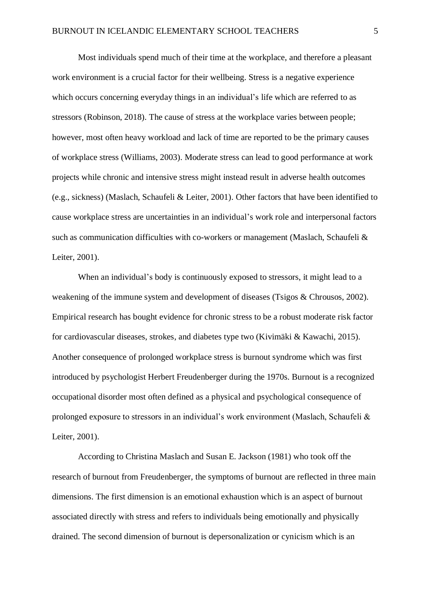Most individuals spend much of their time at the workplace, and therefore a pleasant work environment is a crucial factor for their wellbeing. Stress is a negative experience which occurs concerning everyday things in an individual's life which are referred to as stressors (Robinson, 2018). The cause of stress at the workplace varies between people; however, most often heavy workload and lack of time are reported to be the primary causes of workplace stress (Williams, 2003). Moderate stress can lead to good performance at work projects while chronic and intensive stress might instead result in adverse health outcomes (e.g., sickness) (Maslach, Schaufeli & Leiter, 2001). Other factors that have been identified to cause workplace stress are uncertainties in an individual's work role and interpersonal factors such as communication difficulties with co-workers or management (Maslach, Schaufeli & Leiter, 2001).

When an individual's body is continuously exposed to stressors, it might lead to a weakening of the immune system and development of diseases (Tsigos & Chrousos, 2002). Empirical research has bought evidence for chronic stress to be a robust moderate risk factor for cardiovascular diseases, strokes, and diabetes type two (Kivimäki & Kawachi, 2015). Another consequence of prolonged workplace stress is burnout syndrome which was first introduced by psychologist Herbert Freudenberger during the 1970s. Burnout is a recognized occupational disorder most often defined as a physical and psychological consequence of prolonged exposure to stressors in an individual's work environment (Maslach, Schaufeli & Leiter, 2001).

According to Christina Maslach and Susan E. Jackson (1981) who took off the research of burnout from Freudenberger, the symptoms of burnout are reflected in three main dimensions. The first dimension is an emotional exhaustion which is an aspect of burnout associated directly with stress and refers to individuals being emotionally and physically drained. The second dimension of burnout is depersonalization or cynicism which is an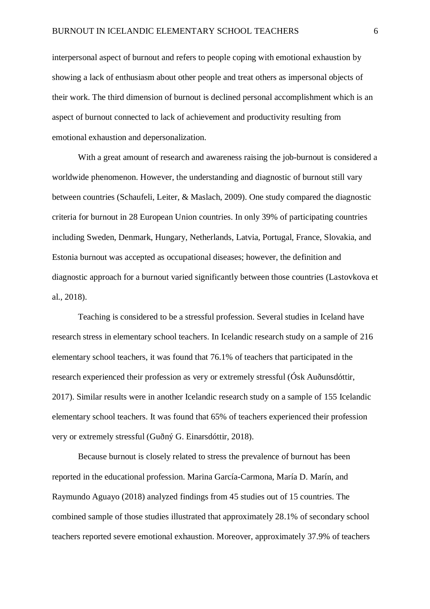interpersonal aspect of burnout and refers to people coping with emotional exhaustion by showing a lack of enthusiasm about other people and treat others as impersonal objects of their work. The third dimension of burnout is declined personal accomplishment which is an aspect of burnout connected to lack of achievement and productivity resulting from emotional exhaustion and depersonalization.

With a great amount of research and awareness raising the job-burnout is considered a worldwide phenomenon. However, the understanding and diagnostic of burnout still vary between countries (Schaufeli, Leiter, & Maslach, 2009). One study compared the diagnostic criteria for burnout in 28 European Union countries. In only 39% of participating countries including Sweden, Denmark, Hungary, Netherlands, Latvia, Portugal, France, Slovakia, and Estonia burnout was accepted as occupational diseases; however, the definition and diagnostic approach for a burnout varied significantly between those countries (Lastovkova et al., 2018).

Teaching is considered to be a stressful profession. Several studies in Iceland have research stress in elementary school teachers. In Icelandic research study on a sample of 216 elementary school teachers, it was found that 76.1% of teachers that participated in the research experienced their profession as very or extremely stressful (Ósk Auðunsdóttir, 2017). Similar results were in another Icelandic research study on a sample of 155 Icelandic elementary school teachers. It was found that 65% of teachers experienced their profession very or extremely stressful (Guðný G. Einarsdóttir, 2018).

Because burnout is closely related to stress the prevalence of burnout has been reported in the educational profession. Marina García-Carmona, María D. Marín, and Raymundo Aguayo (2018) analyzed findings from 45 studies out of 15 countries. The combined sample of those studies illustrated that approximately 28.1% of secondary school teachers reported severe emotional exhaustion. Moreover, approximately 37.9% of teachers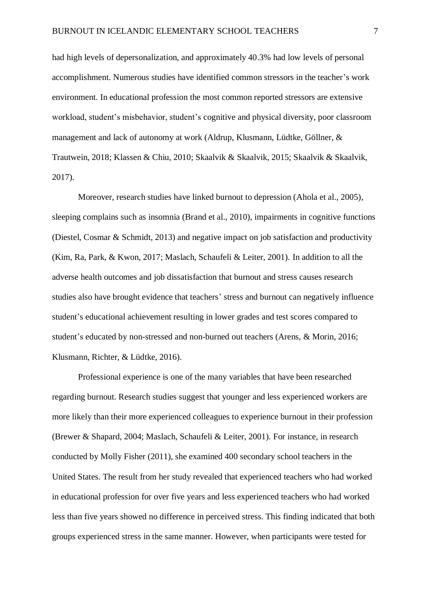had high levels of depersonalization, and approximately 40.3% had low levels of personal accomplishment. Numerous studies have identified common stressors in the teacher's work environment. In educational profession the most common reported stressors are extensive workload, student's misbehavior, student's cognitive and physical diversity, poor classroom management and lack of autonomy at work (Aldrup, Klusmann, Lüdtke, Göllner, & Trautwein, 2018; Klassen & Chiu, 2010; Skaalvik & Skaalvik, 2015; Skaalvik & Skaalvik, 2017).

Moreover, research studies have linked burnout to depression (Ahola et al., 2005), sleeping complains such as insomnia (Brand et al., 2010), impairments in cognitive functions (Diestel, Cosmar & Schmidt, 2013) and negative impact on job satisfaction and productivity (Kim, Ra, Park, & Kwon, 2017; Maslach, Schaufeli & Leiter, 2001). In addition to all the adverse health outcomes and job dissatisfaction that burnout and stress causes research studies also have brought evidence that teachers' stress and burnout can negatively influence student's educational achievement resulting in lower grades and test scores compared to student's educated by non-stressed and non-burned out teachers (Arens, & Morin, 2016; Klusmann, Richter, & Lüdtke, 2016).

Professional experience is one of the many variables that have been researched regarding burnout. Research studies suggest that younger and less experienced workers are more likely than their more experienced colleagues to experience burnout in their profession (Brewer & Shapard, 2004; Maslach, Schaufeli & Leiter, 2001). For instance, in research conducted by Molly Fisher (2011), she examined 400 secondary school teachers in the United States. The result from her study revealed that experienced teachers who had worked in educational profession for over five years and less experienced teachers who had worked less than five years showed no difference in perceived stress. This finding indicated that both groups experienced stress in the same manner. However, when participants were tested for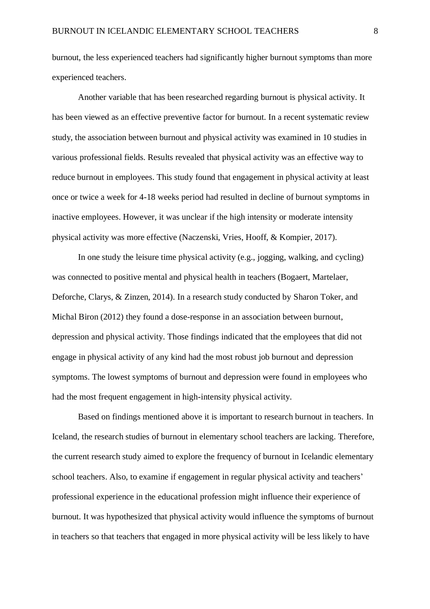burnout, the less experienced teachers had significantly higher burnout symptoms than more experienced teachers.

Another variable that has been researched regarding burnout is physical activity. It has been viewed as an effective preventive factor for burnout. In a recent systematic review study, the association between burnout and physical activity was examined in 10 studies in various professional fields. Results revealed that physical activity was an effective way to reduce burnout in employees. This study found that engagement in physical activity at least once or twice a week for 4-18 weeks period had resulted in decline of burnout symptoms in inactive employees. However, it was unclear if the high intensity or moderate intensity physical activity was more effective (Naczenski, Vries, Hooff, & Kompier, 2017).

In one study the leisure time physical activity (e.g., jogging, walking, and cycling) was connected to positive mental and physical health in teachers (Bogaert, Martelaer, Deforche, Clarys, & Zinzen, 2014). In a research study conducted by Sharon Toker, and Michal Biron (2012) they found a dose-response in an association between burnout, depression and physical activity. Those findings indicated that the employees that did not engage in physical activity of any kind had the most robust job burnout and depression symptoms. The lowest symptoms of burnout and depression were found in employees who had the most frequent engagement in high-intensity physical activity.

Based on findings mentioned above it is important to research burnout in teachers. In Iceland, the research studies of burnout in elementary school teachers are lacking. Therefore, the current research study aimed to explore the frequency of burnout in Icelandic elementary school teachers. Also, to examine if engagement in regular physical activity and teachers' professional experience in the educational profession might influence their experience of burnout. It was hypothesized that physical activity would influence the symptoms of burnout in teachers so that teachers that engaged in more physical activity will be less likely to have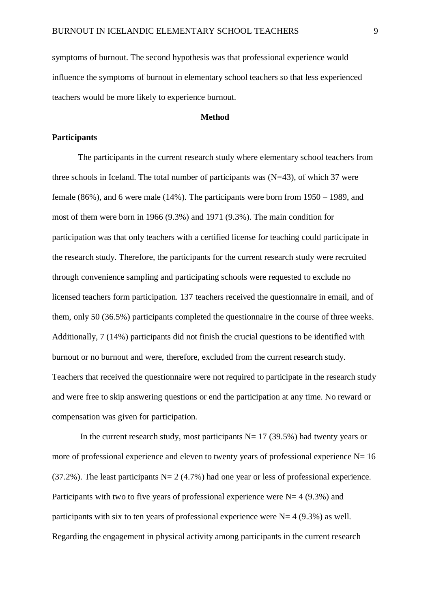symptoms of burnout. The second hypothesis was that professional experience would influence the symptoms of burnout in elementary school teachers so that less experienced teachers would be more likely to experience burnout.

#### **Method**

#### **Participants**

The participants in the current research study where elementary school teachers from three schools in Iceland. The total number of participants was  $(N=43)$ , of which 37 were female (86%), and 6 were male (14%). The participants were born from 1950 – 1989, and most of them were born in 1966 (9.3%) and 1971 (9.3%). The main condition for participation was that only teachers with a certified license for teaching could participate in the research study. Therefore, the participants for the current research study were recruited through convenience sampling and participating schools were requested to exclude no licensed teachers form participation. 137 teachers received the questionnaire in email, and of them, only 50 (36.5%) participants completed the questionnaire in the course of three weeks. Additionally, 7 (14%) participants did not finish the crucial questions to be identified with burnout or no burnout and were, therefore, excluded from the current research study. Teachers that received the questionnaire were not required to participate in the research study and were free to skip answering questions or end the participation at any time. No reward or compensation was given for participation.

In the current research study, most participants  $N= 17$  (39.5%) had twenty years or more of professional experience and eleven to twenty years of professional experience  $N= 16$  $(37.2\%)$ . The least participants N= 2 (4.7%) had one year or less of professional experience. Participants with two to five years of professional experience were  $N=4$  (9.3%) and participants with six to ten years of professional experience were  $N=4$  (9.3%) as well. Regarding the engagement in physical activity among participants in the current research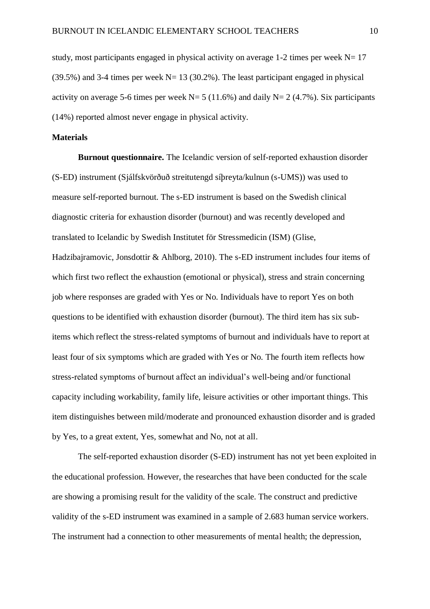study, most participants engaged in physical activity on average 1-2 times per week  $N= 17$  $(39.5\%)$  and 3-4 times per week N= 13 (30.2%). The least participant engaged in physical activity on average 5-6 times per week  $N=5$  (11.6%) and daily  $N=2$  (4.7%). Six participants (14%) reported almost never engage in physical activity.

#### **Materials**

**Burnout questionnaire.** The Icelandic version of self-reported exhaustion disorder (S-ED) instrument (Sjálfskvörðuð streitutengd síþreyta/kulnun (s-UMS)) was used to measure self-reported burnout. The s-ED instrument is based on the Swedish clinical diagnostic criteria for exhaustion disorder (burnout) and was recently developed and translated to Icelandic by Swedish Institutet för Stressmedicin (ISM) (Glise, Hadzibajramovic, Jonsdottir & Ahlborg, 2010). The s-ED instrument includes four items of which first two reflect the exhaustion (emotional or physical), stress and strain concerning job where responses are graded with Yes or No. Individuals have to report Yes on both questions to be identified with exhaustion disorder (burnout). The third item has six subitems which reflect the stress-related symptoms of burnout and individuals have to report at least four of six symptoms which are graded with Yes or No. The fourth item reflects how stress-related symptoms of burnout affect an individual's well-being and/or functional capacity including workability, family life, leisure activities or other important things. This item distinguishes between mild/moderate and pronounced exhaustion disorder and is graded by Yes, to a great extent, Yes, somewhat and No, not at all.

The self-reported exhaustion disorder (S-ED) instrument has not yet been exploited in the educational profession. However, the researches that have been conducted for the scale are showing a promising result for the validity of the scale. The construct and predictive validity of the s-ED instrument was examined in a sample of 2.683 human service workers. The instrument had a connection to other measurements of mental health; the depression,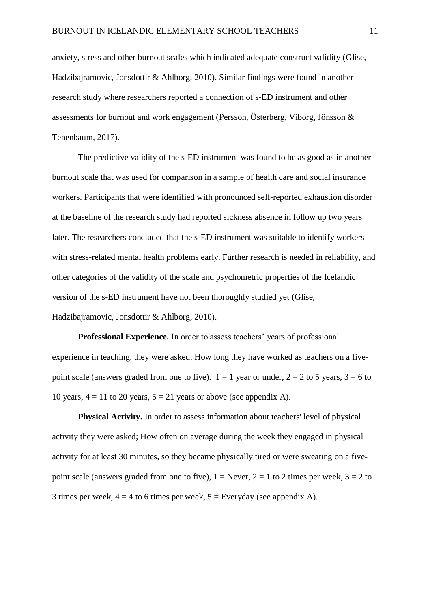anxiety, stress and other burnout scales which indicated adequate construct validity (Glise, Hadzibajramovic, Jonsdottir & Ahlborg, 2010). Similar findings were found in another research study where researchers reported a connection of s-ED instrument and other assessments for burnout and work engagement (Persson, Österberg, Viborg, Jönsson & Tenenbaum, 2017).

The predictive validity of the s-ED instrument was found to be as good as in another burnout scale that was used for comparison in a sample of health care and social insurance workers. Participants that were identified with pronounced self-reported exhaustion disorder at the baseline of the research study had reported sickness absence in follow up two years later. The researchers concluded that the s-ED instrument was suitable to identify workers with stress-related mental health problems early. Further research is needed in reliability, and other categories of the validity of the scale and psychometric properties of the Icelandic version of the s-ED instrument have not been thoroughly studied yet (Glise, Hadzibajramovic, Jonsdottir & Ahlborg, 2010).

**Professional Experience.** In order to assess teachers' years of professional experience in teaching, they were asked: How long they have worked as teachers on a fivepoint scale (answers graded from one to five).  $1 = 1$  year or under,  $2 = 2$  to 5 years,  $3 = 6$  to 10 years,  $4 = 11$  to 20 years,  $5 = 21$  years or above (see appendix A).

**Physical Activity.** In order to assess information about teachers' level of physical activity they were asked; How often on average during the week they engaged in physical activity for at least 30 minutes, so they became physically tired or were sweating on a fivepoint scale (answers graded from one to five),  $1 =$  Never,  $2 = 1$  to 2 times per week,  $3 = 2$  to 3 times per week,  $4 = 4$  to 6 times per week,  $5 =$  Everyday (see appendix A).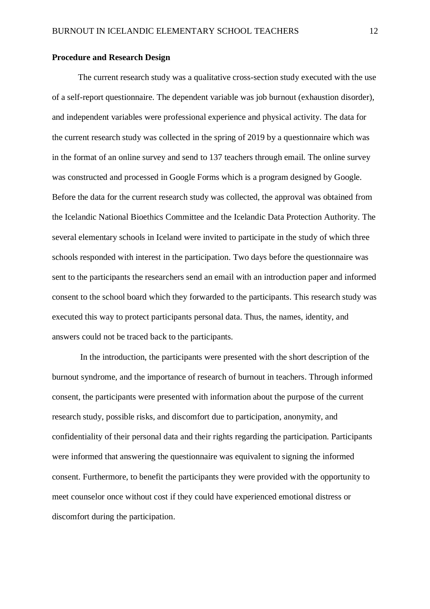#### **Procedure and Research Design**

The current research study was a qualitative cross-section study executed with the use of a self-report questionnaire. The dependent variable was job burnout (exhaustion disorder), and independent variables were professional experience and physical activity. The data for the current research study was collected in the spring of 2019 by a questionnaire which was in the format of an online survey and send to 137 teachers through email. The online survey was constructed and processed in Google Forms which is a program designed by Google. Before the data for the current research study was collected, the approval was obtained from the Icelandic National Bioethics Committee and the Icelandic Data Protection Authority. The several elementary schools in Iceland were invited to participate in the study of which three schools responded with interest in the participation. Two days before the questionnaire was sent to the participants the researchers send an email with an introduction paper and informed consent to the school board which they forwarded to the participants. This research study was executed this way to protect participants personal data. Thus, the names, identity, and answers could not be traced back to the participants.

In the introduction, the participants were presented with the short description of the burnout syndrome, and the importance of research of burnout in teachers. Through informed consent, the participants were presented with information about the purpose of the current research study, possible risks, and discomfort due to participation, anonymity, and confidentiality of their personal data and their rights regarding the participation. Participants were informed that answering the questionnaire was equivalent to signing the informed consent. Furthermore, to benefit the participants they were provided with the opportunity to meet counselor once without cost if they could have experienced emotional distress or discomfort during the participation.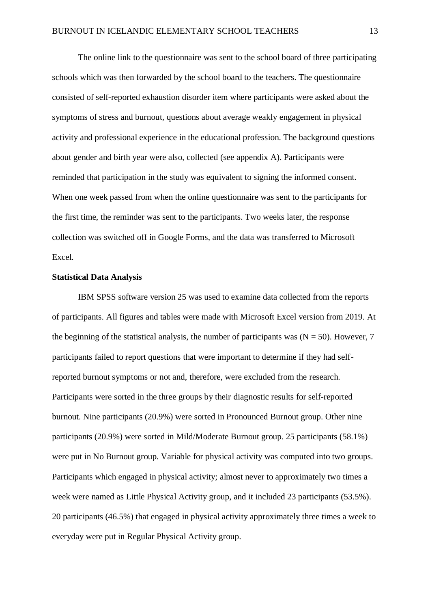The online link to the questionnaire was sent to the school board of three participating schools which was then forwarded by the school board to the teachers. The questionnaire consisted of self-reported exhaustion disorder item where participants were asked about the symptoms of stress and burnout, questions about average weakly engagement in physical activity and professional experience in the educational profession. The background questions about gender and birth year were also, collected (see appendix A). Participants were reminded that participation in the study was equivalent to signing the informed consent. When one week passed from when the online questionnaire was sent to the participants for the first time, the reminder was sent to the participants. Two weeks later, the response collection was switched off in Google Forms, and the data was transferred to Microsoft Excel.

#### **Statistical Data Analysis**

IBM SPSS software version 25 was used to examine data collected from the reports of participants. All figures and tables were made with Microsoft Excel version from 2019. At the beginning of the statistical analysis, the number of participants was  $(N = 50)$ . However, 7 participants failed to report questions that were important to determine if they had selfreported burnout symptoms or not and, therefore, were excluded from the research. Participants were sorted in the three groups by their diagnostic results for self-reported burnout. Nine participants (20.9%) were sorted in Pronounced Burnout group. Other nine participants (20.9%) were sorted in Mild/Moderate Burnout group. 25 participants (58.1%) were put in No Burnout group. Variable for physical activity was computed into two groups. Participants which engaged in physical activity; almost never to approximately two times a week were named as Little Physical Activity group, and it included 23 participants (53.5%). 20 participants (46.5%) that engaged in physical activity approximately three times a week to everyday were put in Regular Physical Activity group.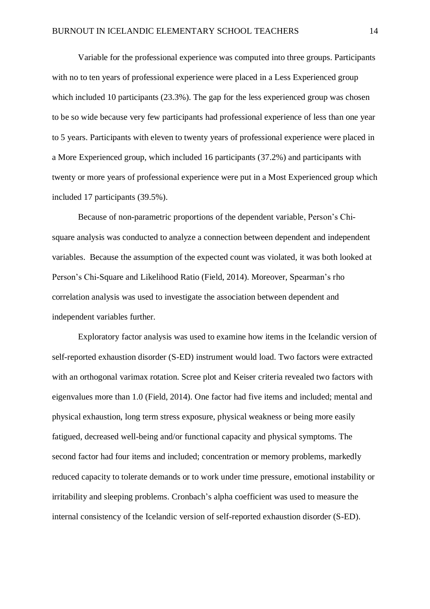Variable for the professional experience was computed into three groups. Participants with no to ten years of professional experience were placed in a Less Experienced group which included 10 participants (23.3%). The gap for the less experienced group was chosen to be so wide because very few participants had professional experience of less than one year to 5 years. Participants with eleven to twenty years of professional experience were placed in a More Experienced group, which included 16 participants (37.2%) and participants with twenty or more years of professional experience were put in a Most Experienced group which included 17 participants (39.5%).

Because of non-parametric proportions of the dependent variable, Person's Chisquare analysis was conducted to analyze a connection between dependent and independent variables. Because the assumption of the expected count was violated, it was both looked at Person's Chi-Square and Likelihood Ratio (Field, 2014). Moreover, Spearman's rho correlation analysis was used to investigate the association between dependent and independent variables further.

Exploratory factor analysis was used to examine how items in the Icelandic version of self-reported exhaustion disorder (S-ED) instrument would load. Two factors were extracted with an orthogonal varimax rotation. Scree plot and Keiser criteria revealed two factors with eigenvalues more than 1.0 (Field, 2014). One factor had five items and included; mental and physical exhaustion, long term stress exposure, physical weakness or being more easily fatigued, decreased well-being and/or functional capacity and physical symptoms. The second factor had four items and included; concentration or memory problems, markedly reduced capacity to tolerate demands or to work under time pressure, emotional instability or irritability and sleeping problems. Cronbach's alpha coefficient was used to measure the internal consistency of the Icelandic version of self-reported exhaustion disorder (S-ED).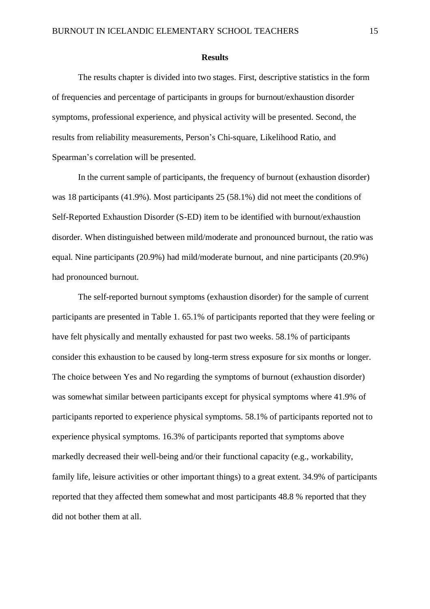#### **Results**

The results chapter is divided into two stages. First, descriptive statistics in the form of frequencies and percentage of participants in groups for burnout/exhaustion disorder symptoms, professional experience, and physical activity will be presented. Second, the results from reliability measurements, Person's Chi-square, Likelihood Ratio, and Spearman's correlation will be presented.

In the current sample of participants, the frequency of burnout (exhaustion disorder) was 18 participants (41.9%). Most participants 25 (58.1%) did not meet the conditions of Self-Reported Exhaustion Disorder (S-ED) item to be identified with burnout/exhaustion disorder. When distinguished between mild/moderate and pronounced burnout, the ratio was equal. Nine participants (20.9%) had mild/moderate burnout, and nine participants (20.9%) had pronounced burnout.

The self-reported burnout symptoms (exhaustion disorder) for the sample of current participants are presented in Table 1. 65.1% of participants reported that they were feeling or have felt physically and mentally exhausted for past two weeks. 58.1% of participants consider this exhaustion to be caused by long-term stress exposure for six months or longer. The choice between Yes and No regarding the symptoms of burnout (exhaustion disorder) was somewhat similar between participants except for physical symptoms where 41.9% of participants reported to experience physical symptoms. 58.1% of participants reported not to experience physical symptoms. 16.3% of participants reported that symptoms above markedly decreased their well-being and/or their functional capacity (e.g., workability, family life, leisure activities or other important things) to a great extent. 34.9% of participants reported that they affected them somewhat and most participants 48.8 % reported that they did not bother them at all.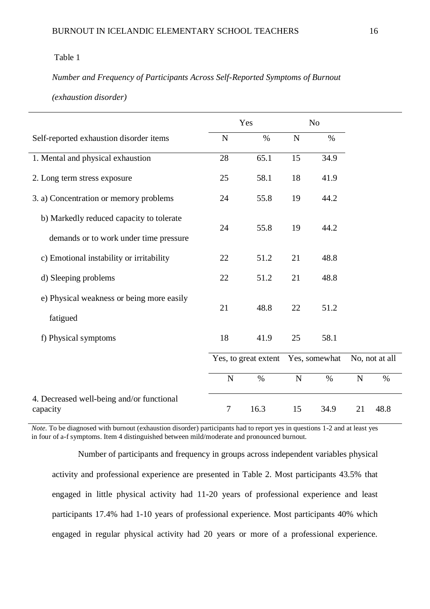## Table 1

## *Number and Frequency of Participants Across Self-Reported Symptoms of Burnout*

*(exhaustion disorder)* 

|                                                       | Yes                  |      | N <sub>o</sub> |      |                |      |
|-------------------------------------------------------|----------------------|------|----------------|------|----------------|------|
| Self-reported exhaustion disorder items               | N                    | $\%$ | N              | $\%$ |                |      |
| 1. Mental and physical exhaustion                     | 28                   | 65.1 | 15             | 34.9 |                |      |
| 2. Long term stress exposure                          | 25                   | 58.1 | 18             | 41.9 |                |      |
| 3. a) Concentration or memory problems                | 24                   | 55.8 | 19             | 44.2 |                |      |
| b) Markedly reduced capacity to tolerate              | 24                   | 55.8 | 19             | 44.2 |                |      |
| demands or to work under time pressure                |                      |      |                |      |                |      |
| c) Emotional instability or irritability              | 22                   | 51.2 | 21             | 48.8 |                |      |
| d) Sleeping problems                                  | 22                   | 51.2 | 21             | 48.8 |                |      |
| e) Physical weakness or being more easily             |                      |      |                |      |                |      |
| fatigued                                              | 21                   | 48.8 | 22             | 51.2 |                |      |
| f) Physical symptoms                                  | 18                   | 41.9 | 25             | 58.1 |                |      |
|                                                       | Yes, to great extent |      | Yes, somewhat  |      | No, not at all |      |
|                                                       | $\mathbf N$          | $\%$ | $\mathbf N$    | $\%$ | $\mathbf N$    | $\%$ |
| 4. Decreased well-being and/or functional<br>capacity | $\tau$               | 16.3 | 15             | 34.9 | 21             | 48.8 |

*Note*. To be diagnosed with burnout (exhaustion disorder) participants had to report yes in questions 1-2 and at least yes in four of a-f symptoms. Item 4 distinguished between mild/moderate and pronounced burnout.

Number of participants and frequency in groups across independent variables physical activity and professional experience are presented in Table 2. Most participants 43.5% that engaged in little physical activity had 11-20 years of professional experience and least participants 17.4% had 1-10 years of professional experience. Most participants 40% which engaged in regular physical activity had 20 years or more of a professional experience.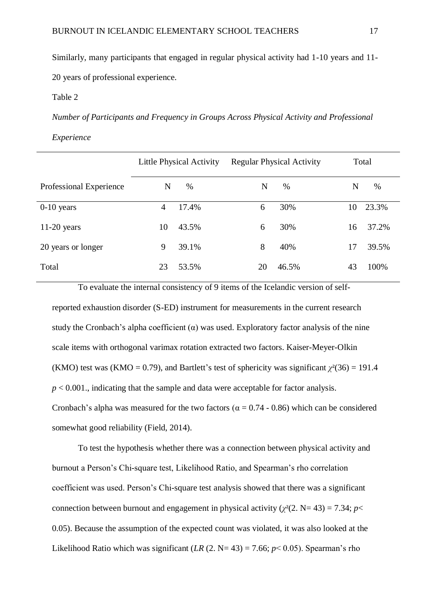Similarly, many participants that engaged in regular physical activity had 1-10 years and 11- 20 years of professional experience.

Table 2

*Number of Participants and Frequency in Groups Across Physical Activity and Professional* 

*Experience* 

|                         | <b>Little Physical Activity</b> |       |    | <b>Regular Physical Activity</b> | Total |       |  |
|-------------------------|---------------------------------|-------|----|----------------------------------|-------|-------|--|
| Professional Experience | N                               | %     | N  | $\%$                             | N     | $\%$  |  |
| $0-10$ years            | 4                               | 17.4% | 6  | 30%                              | 10    | 23.3% |  |
| $11-20$ years           | 10                              | 43.5% | 6  | 30%                              | 16    | 37.2% |  |
| 20 years or longer      | 9                               | 39.1% | 8  | 40%                              | 17    | 39.5% |  |
| Total                   | 23                              | 53.5% | 20 | 46.5%                            | 43    | 100%  |  |

To evaluate the internal consistency of 9 items of the Icelandic version of selfreported exhaustion disorder (S-ED) instrument for measurements in the current research study the Cronbach's alpha coefficient  $(\alpha)$  was used. Exploratory factor analysis of the nine scale items with orthogonal varimax rotation extracted two factors. Kaiser-Meyer-Olkin (KMO) test was (KMO = 0.79), and Bartlett's test of sphericity was significant  $\chi^2(36) = 191.4$  $p < 0.001$ ., indicating that the sample and data were acceptable for factor analysis. Cronbach's alpha was measured for the two factors ( $\alpha = 0.74 - 0.86$ ) which can be considered somewhat good reliability (Field, 2014).

To test the hypothesis whether there was a connection between physical activity and burnout a Person's Chi-square test, Likelihood Ratio, and Spearman's rho correlation coefficient was used. Person's Chi-square test analysis showed that there was a significant connection between burnout and engagement in physical activity ( $\chi^2(2, N=43) = 7.34$ ; *p*< 0.05). Because the assumption of the expected count was violated, it was also looked at the Likelihood Ratio which was significant  $(LR (2. N=43) = 7.66; p < 0.05)$ . Spearman's rho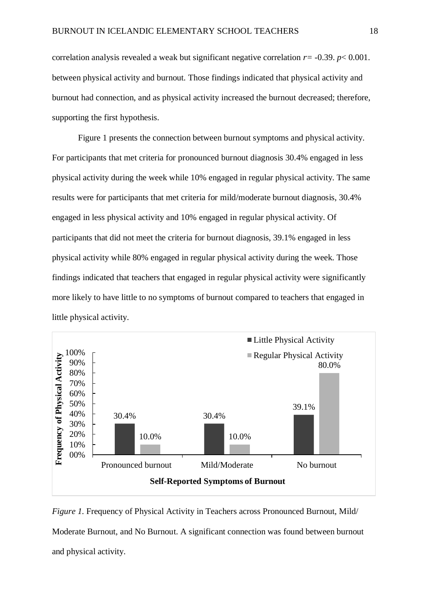correlation analysis revealed a weak but significant negative correlation  $r = -0.39$ .  $p < 0.001$ . between physical activity and burnout. Those findings indicated that physical activity and burnout had connection, and as physical activity increased the burnout decreased; therefore, supporting the first hypothesis.

Figure 1 presents the connection between burnout symptoms and physical activity. For participants that met criteria for pronounced burnout diagnosis 30.4% engaged in less physical activity during the week while 10% engaged in regular physical activity. The same results were for participants that met criteria for mild/moderate burnout diagnosis, 30.4% engaged in less physical activity and 10% engaged in regular physical activity. Of participants that did not meet the criteria for burnout diagnosis, 39.1% engaged in less physical activity while 80% engaged in regular physical activity during the week. Those findings indicated that teachers that engaged in regular physical activity were significantly more likely to have little to no symptoms of burnout compared to teachers that engaged in little physical activity.



*Figure 1.* Frequency of Physical Activity in Teachers across Pronounced Burnout, Mild/ Moderate Burnout, and No Burnout. A significant connection was found between burnout and physical activity.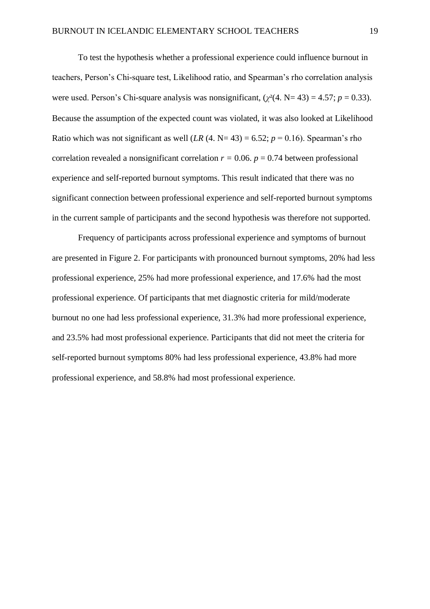To test the hypothesis whether a professional experience could influence burnout in teachers, Person's Chi-square test, Likelihood ratio, and Spearman's rho correlation analysis were used. Person's Chi-square analysis was nonsignificant,  $(\chi^2(4. N=43) = 4.57; p = 0.33)$ . Because the assumption of the expected count was violated, it was also looked at Likelihood Ratio which was not significant as well  $(LR(4. N=43) = 6.52; p = 0.16)$ . Spearman's rho correlation revealed a nonsignificant correlation  $r = 0.06$ .  $p = 0.74$  between professional experience and self-reported burnout symptoms. This result indicated that there was no significant connection between professional experience and self-reported burnout symptoms in the current sample of participants and the second hypothesis was therefore not supported.

Frequency of participants across professional experience and symptoms of burnout are presented in Figure 2. For participants with pronounced burnout symptoms, 20% had less professional experience, 25% had more professional experience, and 17.6% had the most professional experience. Of participants that met diagnostic criteria for mild/moderate burnout no one had less professional experience, 31.3% had more professional experience, and 23.5% had most professional experience. Participants that did not meet the criteria for self-reported burnout symptoms 80% had less professional experience, 43.8% had more professional experience, and 58.8% had most professional experience.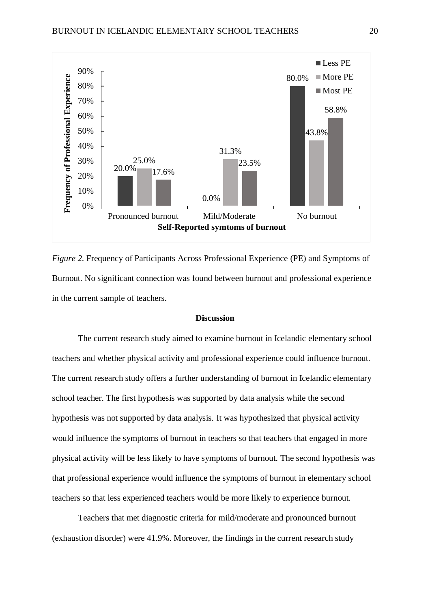

*Figure 2.* Frequency of Participants Across Professional Experience (PE) and Symptoms of Burnout. No significant connection was found between burnout and professional experience in the current sample of teachers.

#### **Discussion**

The current research study aimed to examine burnout in Icelandic elementary school teachers and whether physical activity and professional experience could influence burnout. The current research study offers a further understanding of burnout in Icelandic elementary school teacher. The first hypothesis was supported by data analysis while the second hypothesis was not supported by data analysis. It was hypothesized that physical activity would influence the symptoms of burnout in teachers so that teachers that engaged in more physical activity will be less likely to have symptoms of burnout. The second hypothesis was that professional experience would influence the symptoms of burnout in elementary school teachers so that less experienced teachers would be more likely to experience burnout.

Teachers that met diagnostic criteria for mild/moderate and pronounced burnout (exhaustion disorder) were 41.9%. Moreover, the findings in the current research study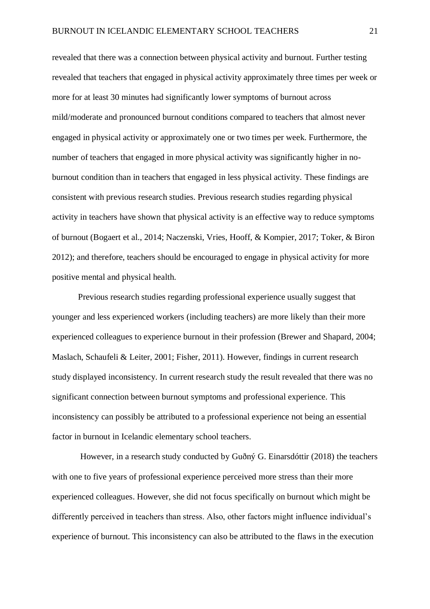revealed that there was a connection between physical activity and burnout. Further testing revealed that teachers that engaged in physical activity approximately three times per week or more for at least 30 minutes had significantly lower symptoms of burnout across mild/moderate and pronounced burnout conditions compared to teachers that almost never engaged in physical activity or approximately one or two times per week. Furthermore, the number of teachers that engaged in more physical activity was significantly higher in noburnout condition than in teachers that engaged in less physical activity. These findings are consistent with previous research studies. Previous research studies regarding physical activity in teachers have shown that physical activity is an effective way to reduce symptoms of burnout (Bogaert et al., 2014; Naczenski, Vries, Hooff, & Kompier, 2017; Toker, & Biron 2012); and therefore, teachers should be encouraged to engage in physical activity for more positive mental and physical health.

Previous research studies regarding professional experience usually suggest that younger and less experienced workers (including teachers) are more likely than their more experienced colleagues to experience burnout in their profession (Brewer and Shapard, 2004; Maslach, Schaufeli & Leiter, 2001; Fisher, 2011). However, findings in current research study displayed inconsistency. In current research study the result revealed that there was no significant connection between burnout symptoms and professional experience. This inconsistency can possibly be attributed to a professional experience not being an essential factor in burnout in Icelandic elementary school teachers.

However, in a research study conducted by Guðný G. Einarsdóttir (2018) the teachers with one to five years of professional experience perceived more stress than their more experienced colleagues. However, she did not focus specifically on burnout which might be differently perceived in teachers than stress. Also, other factors might influence individual's experience of burnout. This inconsistency can also be attributed to the flaws in the execution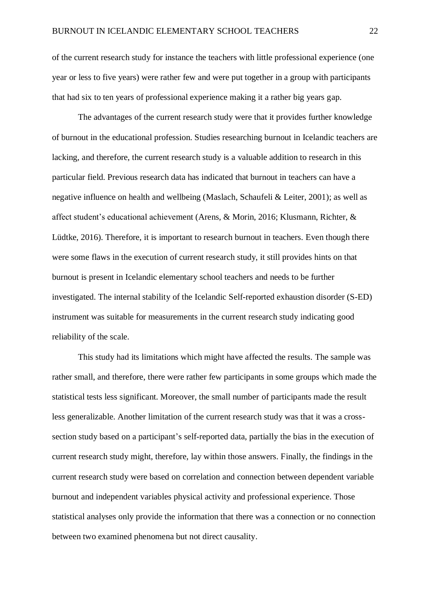of the current research study for instance the teachers with little professional experience (one year or less to five years) were rather few and were put together in a group with participants that had six to ten years of professional experience making it a rather big years gap.

The advantages of the current research study were that it provides further knowledge of burnout in the educational profession. Studies researching burnout in Icelandic teachers are lacking, and therefore, the current research study is a valuable addition to research in this particular field. Previous research data has indicated that burnout in teachers can have a negative influence on health and wellbeing (Maslach, Schaufeli & Leiter, 2001); as well as affect student's educational achievement (Arens, & Morin, 2016; Klusmann, Richter, & Lüdtke, 2016). Therefore, it is important to research burnout in teachers. Even though there were some flaws in the execution of current research study, it still provides hints on that burnout is present in Icelandic elementary school teachers and needs to be further investigated. The internal stability of the Icelandic Self-reported exhaustion disorder (S-ED) instrument was suitable for measurements in the current research study indicating good reliability of the scale.

This study had its limitations which might have affected the results. The sample was rather small, and therefore, there were rather few participants in some groups which made the statistical tests less significant. Moreover, the small number of participants made the result less generalizable. Another limitation of the current research study was that it was a crosssection study based on a participant's self-reported data, partially the bias in the execution of current research study might, therefore, lay within those answers. Finally, the findings in the current research study were based on correlation and connection between dependent variable burnout and independent variables physical activity and professional experience. Those statistical analyses only provide the information that there was a connection or no connection between two examined phenomena but not direct causality.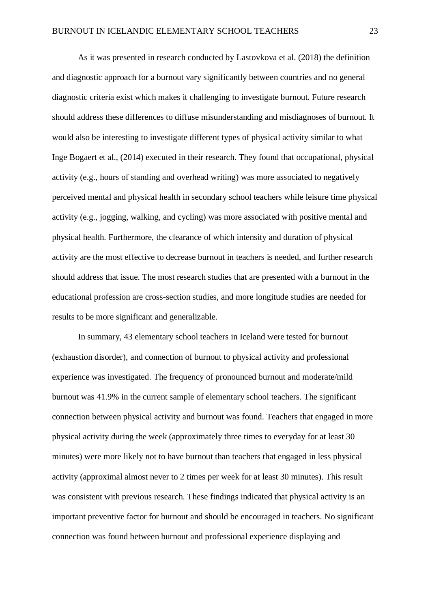As it was presented in research conducted by Lastovkova et al. (2018) the definition and diagnostic approach for a burnout vary significantly between countries and no general diagnostic criteria exist which makes it challenging to investigate burnout. Future research should address these differences to diffuse misunderstanding and misdiagnoses of burnout. It would also be interesting to investigate different types of physical activity similar to what Inge Bogaert et al., (2014) executed in their research. They found that occupational, physical activity (e.g., hours of standing and overhead writing) was more associated to negatively perceived mental and physical health in secondary school teachers while leisure time physical activity (e.g., jogging, walking, and cycling) was more associated with positive mental and physical health. Furthermore, the clearance of which intensity and duration of physical activity are the most effective to decrease burnout in teachers is needed, and further research should address that issue. The most research studies that are presented with a burnout in the educational profession are cross-section studies, and more longitude studies are needed for results to be more significant and generalizable.

In summary, 43 elementary school teachers in Iceland were tested for burnout (exhaustion disorder), and connection of burnout to physical activity and professional experience was investigated. The frequency of pronounced burnout and moderate/mild burnout was 41.9% in the current sample of elementary school teachers. The significant connection between physical activity and burnout was found. Teachers that engaged in more physical activity during the week (approximately three times to everyday for at least 30 minutes) were more likely not to have burnout than teachers that engaged in less physical activity (approximal almost never to 2 times per week for at least 30 minutes). This result was consistent with previous research. These findings indicated that physical activity is an important preventive factor for burnout and should be encouraged in teachers. No significant connection was found between burnout and professional experience displaying and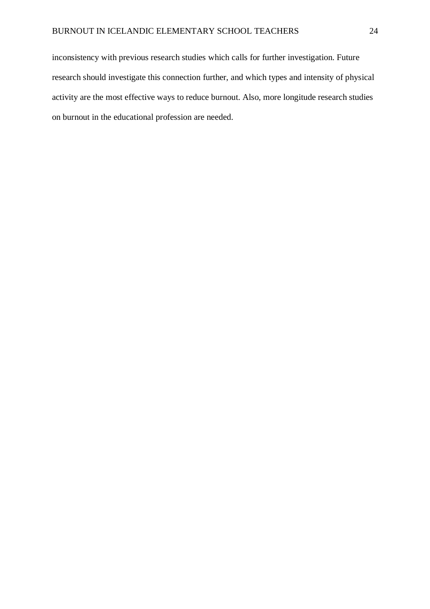inconsistency with previous research studies which calls for further investigation. Future research should investigate this connection further, and which types and intensity of physical activity are the most effective ways to reduce burnout. Also, more longitude research studies on burnout in the educational profession are needed.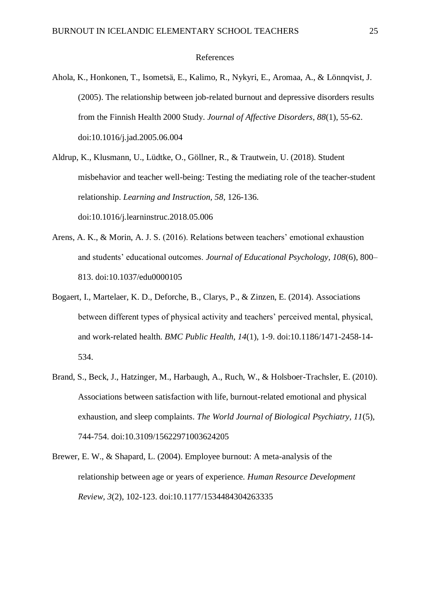#### References

- Ahola, K., Honkonen, T., Isometsä, E., Kalimo, R., Nykyri, E., Aromaa, A., & Lönnqvist, J. (2005). The relationship between job-related burnout and depressive disorders results from the Finnish Health 2000 Study. *Journal of Affective Disorders, 88*(1), 55-62. doi:10.1016/j.jad.2005.06.004
- Aldrup, K., Klusmann, U., Lüdtke, O., Göllner, R., & Trautwein, U. (2018). Student misbehavior and teacher well-being: Testing the mediating role of the teacher-student relationship. *Learning and Instruction, 58*, 126-136. doi:10.1016/j.learninstruc.2018.05.006
- Arens, A. K., & Morin, A. J. S. (2016). Relations between teachers' emotional exhaustion and students' educational outcomes. *Journal of Educational Psychology, 108*(6), 800– 813. doi:10.1037/edu0000105
- Bogaert, I., Martelaer, K. D., Deforche, B., Clarys, P., & Zinzen, E. (2014). Associations between different types of physical activity and teachers' perceived mental, physical, and work-related health. *BMC Public Health, 14*(1), 1-9. doi:10.1186/1471-2458-14- 534.
- Brand, S., Beck, J., Hatzinger, M., Harbaugh, A., Ruch, W., & Holsboer-Trachsler, E. (2010). Associations between satisfaction with life, burnout-related emotional and physical exhaustion, and sleep complaints. *The World Journal of Biological Psychiatry, 11*(5), 744-754. doi:10.3109/15622971003624205
- Brewer, E. W., & Shapard, L. (2004). Employee burnout: A meta-analysis of the relationship between age or years of experience. *Human Resource Development Review, 3*(2), 102-123. doi:10.1177/1534484304263335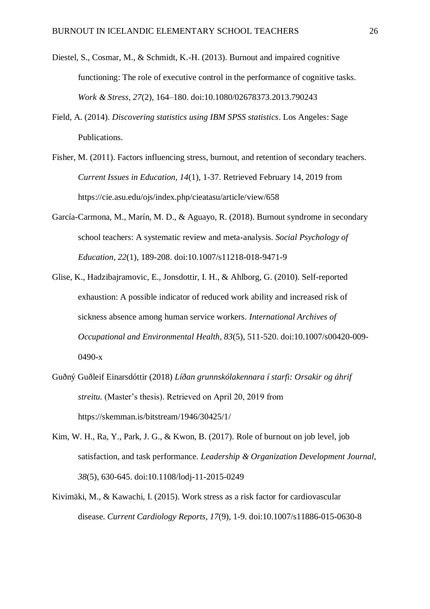- Diestel, S., Cosmar, M., & Schmidt, K.-H. (2013). Burnout and impaired cognitive functioning: The role of executive control in the performance of cognitive tasks. *Work & Stress, 27*(2), 164–180. doi:10.1080/02678373.2013.790243
- Field, A. (2014). *Discovering statistics using IBM SPSS statistics*. Los Angeles: Sage Publications.
- Fisher, M. (2011). Factors influencing stress, burnout, and retention of secondary teachers. *Current Issues in Education, 14*(1), 1-37. Retrieved February 14, 2019 from https://cie.asu.edu/ojs/index.php/cieatasu/article/view/658
- García-Carmona, M., Marín, M. D., & Aguayo, R. (2018). Burnout syndrome in secondary school teachers: A systematic review and meta-analysis. *Social Psychology of Education, 22*(1), 189-208. doi:10.1007/s11218-018-9471-9
- Glise, K., Hadzibajramovic, E., Jonsdottir, I. H., & Ahlborg, G. (2010). Self-reported exhaustion: A possible indicator of reduced work ability and increased risk of sickness absence among human service workers. *International Archives of Occupational and Environmental Health, 83*(5), 511-520. doi:10.1007/s00420-009- 0490-x
- Guðný Guðleif Einarsdóttir (2018) *Líðan grunnskólakennara í starfi: Orsakir og áhrif streitu.* (Master's thesis). Retrieved on April 20, 2019 from <https://skemman.is/bitstream/1946/30425/1/>
- Kim, W. H., Ra, Y., Park, J. G., & Kwon, B. (2017). Role of burnout on job level, job satisfaction, and task performance. *Leadership & Organization Development Journal, 38*(5), 630-645. doi:10.1108/lodj-11-2015-0249
- Kivimäki, M., & Kawachi, I. (2015). Work stress as a risk factor for cardiovascular disease. *Current Cardiology Reports, 17*(9), 1-9. doi:10.1007/s11886-015-0630-8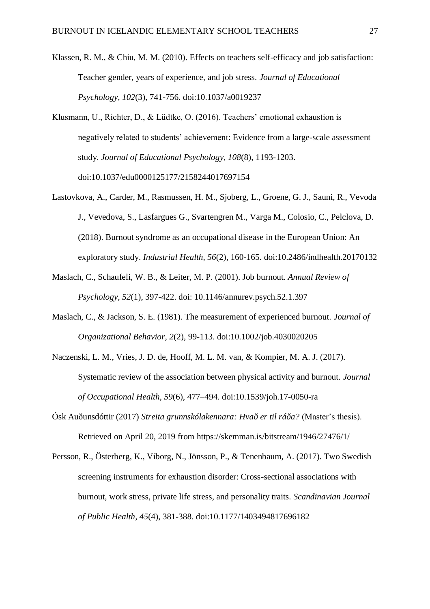- Klassen, R. M., & Chiu, M. M. (2010). Effects on teachers self-efficacy and job satisfaction: Teacher gender, years of experience, and job stress. *Journal of Educational Psychology, 102*(3), 741-756. doi:10.1037/a0019237
- Klusmann, U., Richter, D., & Lüdtke, O. (2016). Teachers' emotional exhaustion is negatively related to students' achievement: Evidence from a large-scale assessment study. *Journal of Educational Psychology, 108*(8), 1193-1203. doi:10.1037/edu0000125177/2158244017697154
- Lastovkova, A., Carder, M., Rasmussen, H. M., Sjoberg, L., Groene, G. J., Sauni, R., Vevoda J., Vevedova, S., Lasfargues G., Svartengren M., Varga M., Colosio, C., Pelclova, D. (2018). Burnout syndrome as an occupational disease in the European Union: An exploratory study. *Industrial Health, 56*(2), 160-165. doi:10.2486/indhealth.20170132
- Maslach, C., Schaufeli, W. B., & Leiter, M. P. (2001). Job burnout. *Annual Review of Psychology, 52*(1), 397-422. doi: 10.1146/annurev.psych.52.1.397
- Maslach, C., & Jackson, S. E. (1981). The measurement of experienced burnout. *Journal of Organizational Behavior, 2*(2), 99-113. doi:10.1002/job.4030020205
- Naczenski, L. M., Vries, J. D. de, Hooff, M. L. M. van, & Kompier, M. A. J. (2017). Systematic review of the association between physical activity and burnout. *Journal of Occupational Health, 59*(6), 477–494. doi:10.1539/joh.17-0050-ra
- Ósk Auðunsdóttir (2017) *Streita grunnskólakennara: Hvað er til ráða?* (Master's thesis). Retrieved on April 20, 2019 from<https://skemman.is/bitstream/1946/27476/1/>
- Persson, R., Österberg, K., Viborg, N., Jönsson, P., & Tenenbaum, A. (2017). Two Swedish screening instruments for exhaustion disorder: Cross-sectional associations with burnout, work stress, private life stress, and personality traits. *Scandinavian Journal of Public Health, 45*(4), 381-388. doi:10.1177/1403494817696182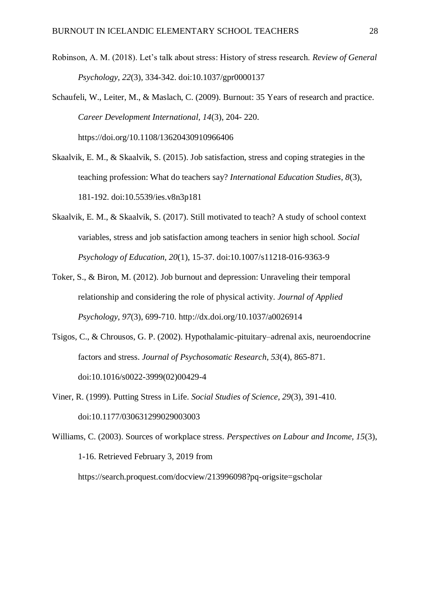- Robinson, A. M. (2018). Let's talk about stress: History of stress research. *Review of General Psychology, 22*(3), 334-342. doi:10.1037/gpr0000137
- Schaufeli, W., Leiter, M., & Maslach, C. (2009). Burnout: 35 Years of research and practice. *Career Development International, 14*(3), 204- 220. https://doi.org/10.1108/13620430910966406
- Skaalvik, E. M., & Skaalvik, S. (2015). Job satisfaction, stress and coping strategies in the teaching profession: What do teachers say? *International Education Studies, 8*(3), 181-192. doi:10.5539/ies.v8n3p181
- Skaalvik, E. M., & Skaalvik, S. (2017). Still motivated to teach? A study of school context variables, stress and job satisfaction among teachers in senior high school. *Social Psychology of Education, 20*(1), 15-37. doi:10.1007/s11218-016-9363-9
- Toker, S., & Biron, M. (2012). Job burnout and depression: Unraveling their temporal relationship and considering the role of physical activity. *Journal of Applied Psychology, 97*(3), 699-710. http://dx.doi.org/10.1037/a0026914
- Tsigos, C., & Chrousos, G. P. (2002). Hypothalamic-pituitary–adrenal axis, neuroendocrine factors and stress. *Journal of Psychosomatic Research, 53*(4), 865-871. doi:10.1016/s0022-3999(02)00429-4
- Viner, R. (1999). Putting Stress in Life. *Social Studies of Science, 29*(3), 391-410. doi:10.1177/030631299029003003
- Williams, C. (2003). Sources of workplace stress. *Perspectives on Labour and Income, 15*(3), 1-16. Retrieved February 3, 2019 from <https://search.proquest.com/docview/213996098?pq-origsite=gscholar>